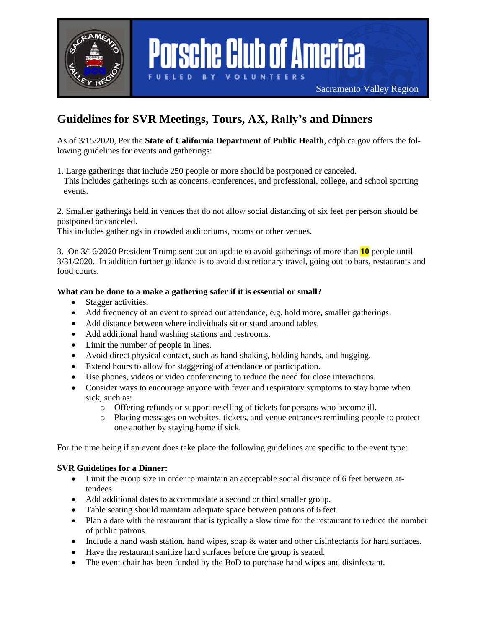

# **Porsche Club of America**

Sacramento Valley Region

# **Guidelines for SVR Meetings, Tours, AX, Rally's and Dinners**

As of 3/15/2020, Per the **State of California Department of Public Health**, [cdph.ca.gov](http://cdph.ca.gov/) offers the following guidelines for events and gatherings:

1. Large gatherings that include 250 people or more should be postponed or canceled. This includes gatherings such as concerts, conferences, and professional, college, and school sporting events.

2. Smaller gatherings held in venues that do not allow social distancing of six feet per person should be postponed or canceled.

This includes gatherings in crowded auditoriums, rooms or other venues.

3. On 3/16/2020 President Trump sent out an update to avoid gatherings of more than **10** people until 3/31/2020. In addition further guidance is to avoid discretionary travel, going out to bars, restaurants and food courts.

## **What can be done to a make a gathering safer if it is essential or small?**

- Stagger activities.
- Add frequency of an event to spread out attendance, e.g. hold more, smaller gatherings.
- Add distance between where individuals sit or stand around tables.
- Add additional hand washing stations and restrooms.
- Limit the number of people in lines.
- Avoid direct physical contact, such as hand-shaking, holding hands, and hugging.
- Extend hours to allow for staggering of attendance or participation.
- Use phones, videos or video conferencing to reduce the need for close interactions.
- Consider ways to encourage anyone with fever and respiratory symptoms to stay home when sick, such as:
	- o Offering refunds or support reselling of tickets for persons who become ill.
	- o Placing messages on websites, tickets, and venue entrances reminding people to protect one another by staying home if sick.

For the time being if an event does take place the following guidelines are specific to the event type:

#### **SVR Guidelines for a Dinner:**

- Limit the group size in order to maintain an acceptable social distance of 6 feet between attendees.
- Add additional dates to accommodate a second or third smaller group.
- Table seating should maintain adequate space between patrons of 6 feet.
- Plan a date with the restaurant that is typically a slow time for the restaurant to reduce the number of public patrons.
- Include a hand wash station, hand wipes, soap & water and other disinfectants for hard surfaces.
- Have the restaurant sanitize hard surfaces before the group is seated.
- The event chair has been funded by the BoD to purchase hand wipes and disinfectant.